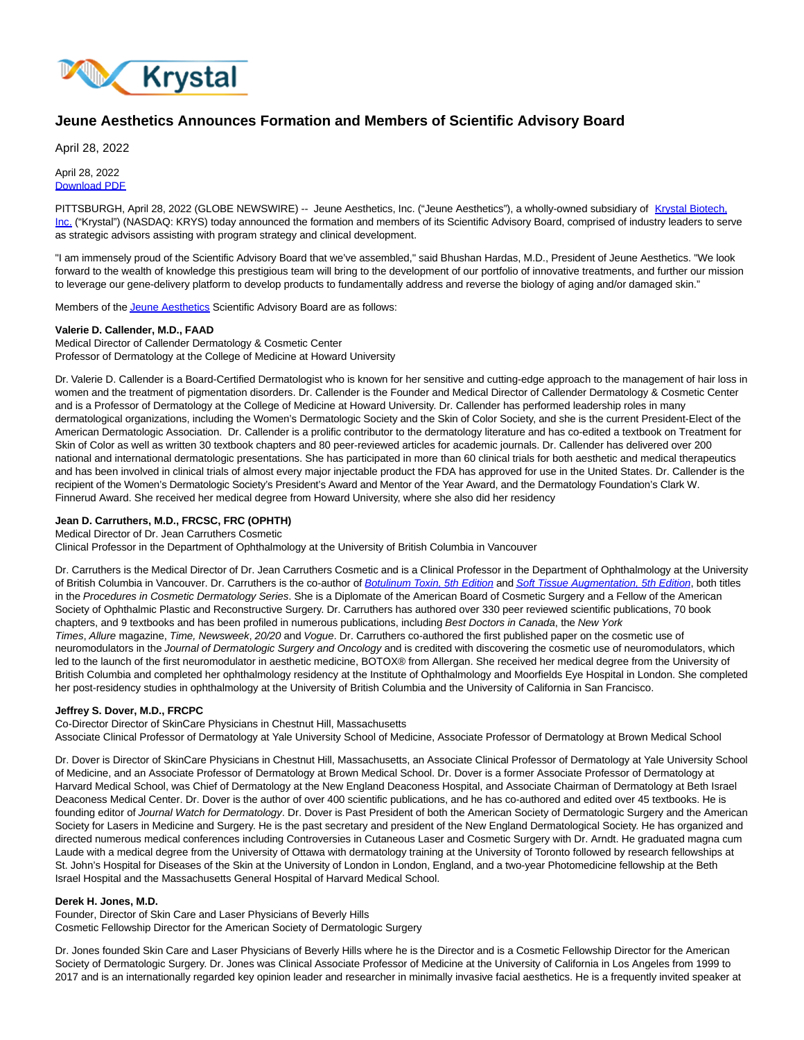

# **Jeune Aesthetics Announces Formation and Members of Scientific Advisory Board**

April 28, 2022

April 28, 2022 [Download PDF](https://www.globenewswire.com/Tracker?data=S5apSlRq8UIJacv4SaB7CfipDbGNN_YbdM6klYdtildx7KAeKWIJl7TzV8pJJfLnn14No9hFF602OXiFJlsJ4qWUXyPxNN2ktB7cQeyv8c4=)

PITTSBURGH, April 28, 2022 (GLOBE NEWSWIRE) -- Jeune Aesthetics, Inc. ("Jeune Aesthetics"), a wholly-owned subsidiary of [Krystal Biotech,](https://www.globenewswire.com/Tracker?data=Mdhc7SNoGVyOl0aZj5H7qOT3_pQRB0p6pHNe5BKthEq1k9GmKpPMc_sIdK4guTx3iW7JyzfxtXt5kWGVnzFEv_uWWWKR1HJYMlTLEw7S3RSY-O4XO9wPaCmK5qJhV8Xc_eHuYqzXCKLAuhvuKFvbkY94XePm3otnJXN73c9XXEjXkul3ty_QUV7BivZt9VLbgTzzV_327OGAtP_kkUpPRdiwjjZXyaLeJmYvDsacjiDQtgpUU3g-8_Bv6ww64T9Qhw-0qFSUUsHD8cN1kEYJGg==) Inc. ("Krystal") (NASDAQ: KRYS) today announced the formation and members of its Scientific Advisory Board, comprised of industry leaders to serve as strategic advisors assisting with program strategy and clinical development.

"I am immensely proud of the Scientific Advisory Board that we've assembled," said Bhushan Hardas, M.D., President of Jeune Aesthetics. "We look forward to the wealth of knowledge this prestigious team will bring to the development of our portfolio of innovative treatments, and further our mission to leverage our gene-delivery platform to develop products to fundamentally address and reverse the biology of aging and/or damaged skin."

Members of th[e Jeune Aesthetics S](https://www.globenewswire.com/Tracker?data=QCQgatGqc2Lf6O8t3A7Ut1297xctevZZ5fihSZmVGt_Xf-ZwDwSZxFkCxYFBgig8Gt7ufh_1l9vnACVyk20OyQ==)cientific Advisory Board are as follows:

# **Valerie D. Callender, M.D., FAAD**

Medical Director of Callender Dermatology & Cosmetic Center Professor of Dermatology at the College of Medicine at Howard University

Dr. Valerie D. Callender is a Board-Certified Dermatologist who is known for her sensitive and cutting-edge approach to the management of hair loss in women and the treatment of pigmentation disorders. Dr. Callender is the Founder and Medical Director of Callender Dermatology & Cosmetic Center and is a Professor of Dermatology at the College of Medicine at Howard University. Dr. Callender has performed leadership roles in many dermatological organizations, including the Women's Dermatologic Society and the Skin of Color Society, and she is the current President-Elect of the American Dermatologic Association. Dr. Callender is a prolific contributor to the dermatology literature and has co-edited a textbook on Treatment for Skin of Color as well as written 30 textbook chapters and 80 peer-reviewed articles for academic journals. Dr. Callender has delivered over 200 national and international dermatologic presentations. She has participated in more than 60 clinical trials for both aesthetic and medical therapeutics and has been involved in clinical trials of almost every major injectable product the FDA has approved for use in the United States. Dr. Callender is the recipient of the Women's Dermatologic Society's President's Award and Mentor of the Year Award, and the Dermatology Foundation's Clark W. Finnerud Award. She received her medical degree from Howard University, where she also did her residency

## **Jean D. Carruthers, M.D., FRCSC, FRC (OPHTH)**

Medical Director of Dr. Jean Carruthers Cosmetic

Clinical Professor in the Department of Ophthalmology at the University of British Columbia in Vancouver

Dr. Carruthers is the Medical Director of Dr. Jean Carruthers Cosmetic and is a Clinical Professor in the Department of Ophthalmology at the University of British Columbia in Vancouver. Dr. Carruthers is the co-author of [Botulinum Toxin, 5th Edition](https://www.globenewswire.com/Tracker?data=FAQEAHWmX-TNBqF5IaPMN9OR16HHI3vyA855SotFuLf4st7s4t4JLFT6-ZtDpt9W8kv7ksjM8ZVfJjn-leD7wknlHWw6eGLULN3X9maAw6xF8oVvjvykjH8leeLOzDZWOup7A-T-1W-IJJz5Lovbn8okNJbEhxGUkL2bjjoLYEvATJUbvqFYEBes1fun6Xze) and [Soft Tissue Augmentation, 5th Edition](https://www.globenewswire.com/Tracker?data=VG3_JMgdzSAbetHJUCzkJv0ZT_aNukE9U7nfyzk17vjFc4cgG5s4k-QGRt5JQEveB3ZXLS5UnRkyJj9PTrZdr8boyC4CNsORljkQTntzlGvRvF29Qx750xu-XPNMNE4FLu0Hq9tZhI-nTJO0Z6ZOej25PFeBnMKF2DkcNQL5PiV9jRjHV1puSiFpxW82eZ6v), both titles in the Procedures in Cosmetic Dermatology Series. She is a Diplomate of the American Board of Cosmetic Surgery and a Fellow of the American Society of Ophthalmic Plastic and Reconstructive Surgery. Dr. Carruthers has authored over 330 peer reviewed scientific publications, 70 book chapters, and 9 textbooks and has been profiled in numerous publications, including Best Doctors in Canada, the New York Times, Allure magazine, Time, Newsweek, 20/20 and Vogue. Dr. Carruthers co-authored the first published paper on the cosmetic use of neuromodulators in the Journal of Dermatologic Surgery and Oncology and is credited with discovering the cosmetic use of neuromodulators, which led to the launch of the first neuromodulator in aesthetic medicine, BOTOX® from Allergan. She received her medical degree from the University of British Columbia and completed her ophthalmology residency at the Institute of Ophthalmology and Moorfields Eye Hospital in London. She completed her post-residency studies in ophthalmology at the University of British Columbia and the University of California in San Francisco.

## **Jeffrey S. Dover, M.D., FRCPC**

Co-Director Director of SkinCare Physicians in Chestnut Hill, Massachusetts Associate Clinical Professor of Dermatology at Yale University School of Medicine, Associate Professor of Dermatology at Brown Medical School

Dr. Dover is Director of SkinCare Physicians in Chestnut Hill, Massachusetts, an Associate Clinical Professor of Dermatology at Yale University School of Medicine, and an Associate Professor of Dermatology at Brown Medical School. Dr. Dover is a former Associate Professor of Dermatology at Harvard Medical School, was Chief of Dermatology at the New England Deaconess Hospital, and Associate Chairman of Dermatology at Beth Israel Deaconess Medical Center. Dr. Dover is the author of over 400 scientific publications, and he has co-authored and edited over 45 textbooks. He is founding editor of Journal Watch for Dermatology. Dr. Dover is Past President of both the American Society of Dermatologic Surgery and the American Society for Lasers in Medicine and Surgery. He is the past secretary and president of the New England Dermatological Society. He has organized and directed numerous medical conferences including Controversies in Cutaneous Laser and Cosmetic Surgery with Dr. Arndt. He graduated magna cum Laude with a medical degree from the University of Ottawa with dermatology training at the University of Toronto followed by research fellowships at St. John's Hospital for Diseases of the Skin at the University of London in London, England, and a two-year Photomedicine fellowship at the Beth Israel Hospital and the Massachusetts General Hospital of Harvard Medical School.

## **Derek H. Jones, M.D.**

Founder, Director of Skin Care and Laser Physicians of Beverly Hills Cosmetic Fellowship Director for the American Society of Dermatologic Surgery

Dr. Jones founded Skin Care and Laser Physicians of Beverly Hills where he is the Director and is a Cosmetic Fellowship Director for the American Society of Dermatologic Surgery. Dr. Jones was Clinical Associate Professor of Medicine at the University of California in Los Angeles from 1999 to 2017 and is an internationally regarded key opinion leader and researcher in minimally invasive facial aesthetics. He is a frequently invited speaker at